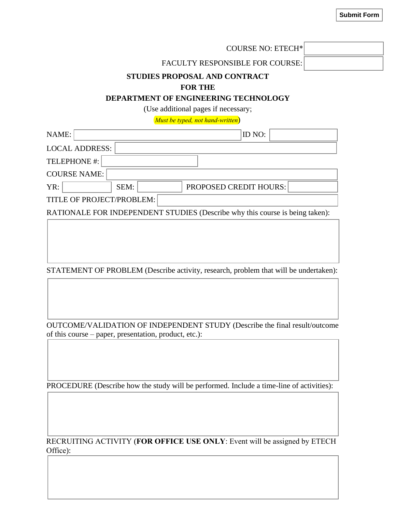**Submit Form**

|                           |      | <b>COURSE NO: ETECH*</b>                                                                       |  |
|---------------------------|------|------------------------------------------------------------------------------------------------|--|
|                           |      | <b>FACULTY RESPONSIBLE FOR COURSE:</b>                                                         |  |
|                           |      | STUDIES PROPOSAL AND CONTRACT<br><b>FOR THE</b><br><b>DEPARTMENT OF ENGINEERING TECHNOLOGY</b> |  |
|                           |      | (Use additional pages if necessary;                                                            |  |
|                           |      | Must be typed, not hand-written)                                                               |  |
| NAME:                     |      | ID NO:                                                                                         |  |
| <b>LOCAL ADDRESS:</b>     |      |                                                                                                |  |
| TELEPHONE #:              |      |                                                                                                |  |
| <b>COURSE NAME:</b>       |      |                                                                                                |  |
| YR:                       | SEM: | PROPOSED CREDIT HOURS:                                                                         |  |
| TITLE OF PROJECT/PROBLEM: |      |                                                                                                |  |
|                           |      | RATIONALE FOR INDEPENDENT STUDIES (Describe why this course is being taken):                   |  |
|                           |      |                                                                                                |  |

STATEMENT OF PROBLEM (Describe activity, research, problem that will be undertaken):

OUTCOME/VALIDATION OF INDEPENDENT STUDY (Describe the final result/outcome of this course – paper, presentation, product, etc.):

PROCEDURE (Describe how the study will be performed. Include a time-line of activities):

RECRUITING ACTIVITY (**FOR OFFICE USE ONLY**: Event will be assigned by ETECH Office):